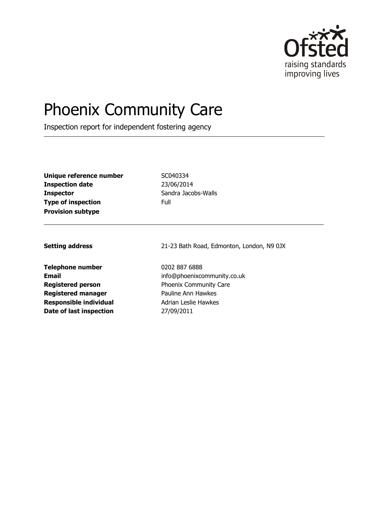

# Phoenix Community Care

Inspection report for independent fostering agency

| Unique reference number   | SCI. |
|---------------------------|------|
| <b>Inspection date</b>    | 23/  |
| <b>Inspector</b>          | Sar  |
| <b>Type of inspection</b> | Full |
| <b>Provision subtype</b>  |      |

**Unique reference number** SC040334 **Inspection date** 23/06/2014 Sandra Jacobs-Walls

**Telephone number** 0202 887 6888 **Registered person** Phoenix Community Care **Registered manager** Pauline Ann Hawkes **Responsible individual** Adrian Leslie Hawkes **Date of last inspection** 27/09/2011

**Setting address** 21-23 Bath Road, Edmonton, London, N9 0JX

**Email** info@phoenixcommunity.co.uk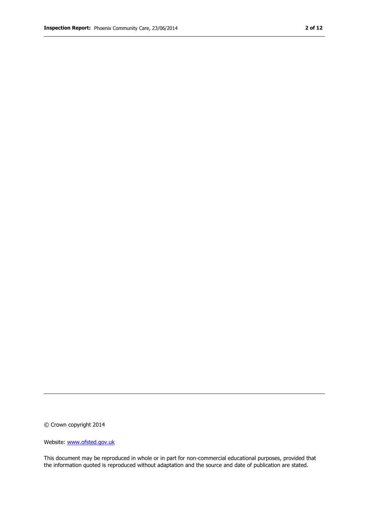© Crown copyright 2014

Website: www.ofsted.gov.uk

This document may be reproduced in whole or in part for non-commercial educational purposes, provided that the information quoted is reproduced without adaptation and the source and date of publication are stated.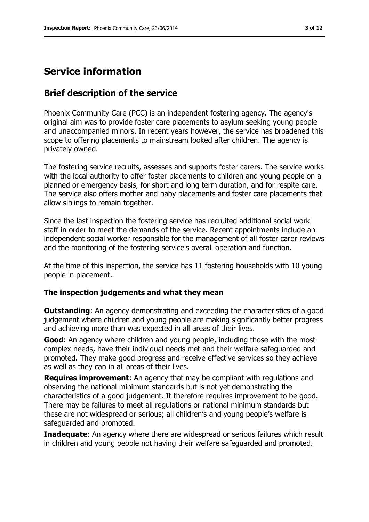## **Service information**

#### **Brief description of the service**

Phoenix Community Care (PCC) is an independent fostering agency. The agency's original aim was to provide foster care placements to asylum seeking young people and unaccompanied minors. In recent years however, the service has broadened this scope to offering placements to mainstream looked after children. The agency is privately owned.

The fostering service recruits, assesses and supports foster carers. The service works with the local authority to offer foster placements to children and young people on a planned or emergency basis, for short and long term duration, and for respite care. The service also offers mother and baby placements and foster care placements that allow siblings to remain together.

Since the last inspection the fostering service has recruited additional social work staff in order to meet the demands of the service. Recent appointments include an independent social worker responsible for the management of all foster carer reviews and the monitoring of the fostering service's overall operation and function.

At the time of this inspection, the service has 11 fostering households with 10 young people in placement.

#### **The inspection judgements and what they mean**

**Outstanding:** An agency demonstrating and exceeding the characteristics of a good judgement where children and young people are making significantly better progress and achieving more than was expected in all areas of their lives.

**Good**: An agency where children and young people, including those with the most complex needs, have their individual needs met and their welfare safeguarded and promoted. They make good progress and receive effective services so they achieve as well as they can in all areas of their lives.

**Requires improvement**: An agency that may be compliant with regulations and observing the national minimum standards but is not yet demonstrating the characteristics of a good judgement. It therefore requires improvement to be good. There may be failures to meet all regulations or national minimum standards but these are not widespread or serious; all children's and young people's welfare is safeguarded and promoted.

**Inadequate:** An agency where there are widespread or serious failures which result in children and young people not having their welfare safeguarded and promoted.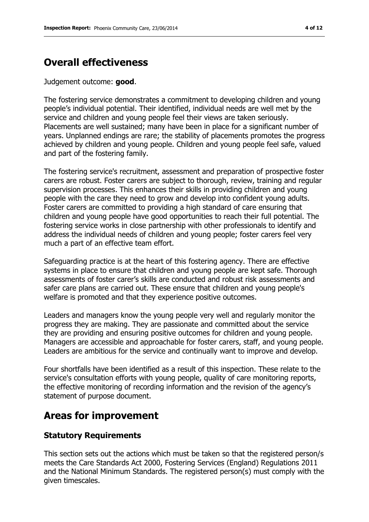# **Overall effectiveness**

Judgement outcome: **good**.

The fostering service demonstrates a commitment to developing children and young people's individual potential. Their identified, individual needs are well met by the service and children and young people feel their views are taken seriously. Placements are well sustained; many have been in place for a significant number of years. Unplanned endings are rare; the stability of placements promotes the progress achieved by children and young people. Children and young people feel safe, valued and part of the fostering family.

The fostering service's recruitment, assessment and preparation of prospective foster carers are robust. Foster carers are subject to thorough, review, training and regular supervision processes. This enhances their skills in providing children and young people with the care they need to grow and develop into confident young adults. Foster carers are committed to providing a high standard of care ensuring that children and young people have good opportunities to reach their full potential. The fostering service works in close partnership with other professionals to identify and address the individual needs of children and young people; foster carers feel very much a part of an effective team effort.

Safeguarding practice is at the heart of this fostering agency. There are effective systems in place to ensure that children and young people are kept safe. Thorough assessments of foster carer's skills are conducted and robust risk assessments and safer care plans are carried out. These ensure that children and young people's welfare is promoted and that they experience positive outcomes.

Leaders and managers know the young people very well and regularly monitor the progress they are making. They are passionate and committed about the service they are providing and ensuring positive outcomes for children and young people. Managers are accessible and approachable for foster carers, staff, and young people. Leaders are ambitious for the service and continually want to improve and develop.

Four shortfalls have been identified as a result of this inspection. These relate to the service's consultation efforts with young people, quality of care monitoring reports, the effective monitoring of recording information and the revision of the agency's statement of purpose document.

## **Areas for improvement**

#### **Statutory Requirements**

This section sets out the actions which must be taken so that the registered person/s meets the Care Standards Act 2000, Fostering Services (England) Regulations 2011 and the National Minimum Standards. The registered person(s) must comply with the given timescales.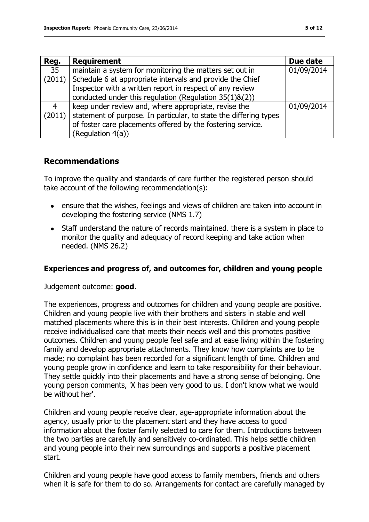| Reg.           | <b>Requirement</b>                                                | Due date   |
|----------------|-------------------------------------------------------------------|------------|
| 35             | maintain a system for monitoring the matters set out in           | 01/09/2014 |
| (2011)         | Schedule 6 at appropriate intervals and provide the Chief         |            |
|                | Inspector with a written report in respect of any review          |            |
|                | conducted under this regulation (Regulation $35(1)8(2)$ )         |            |
| $\overline{4}$ | keep under review and, where appropriate, revise the              | 01/09/2014 |
| (2011)         | statement of purpose. In particular, to state the differing types |            |
|                | of foster care placements offered by the fostering service.       |            |
|                | (Regulation 4(a))                                                 |            |

#### **Recommendations**

To improve the quality and standards of care further the registered person should take account of the following recommendation(s):

- ensure that the wishes, feelings and views of children are taken into account in developing the fostering service (NMS 1.7)
- Staff understand the nature of records maintained. there is a system in place to monitor the quality and adequacy of record keeping and take action when needed. (NMS 26.2)

#### **Experiences and progress of, and outcomes for, children and young people**

Judgement outcome: **good**.

The experiences, progress and outcomes for children and young people are positive. Children and young people live with their brothers and sisters in stable and well matched placements where this is in their best interests. Children and young people receive individualised care that meets their needs well and this promotes positive outcomes. Children and young people feel safe and at ease living within the fostering family and develop appropriate attachments. They know how complaints are to be made; no complaint has been recorded for a significant length of time. Children and young people grow in confidence and learn to take responsibility for their behaviour. They settle quickly into their placements and have a strong sense of belonging. One young person comments, 'X has been very good to us. I don't know what we would be without her'.

Children and young people receive clear, age-appropriate information about the agency, usually prior to the placement start and they have access to good information about the foster family selected to care for them. Introductions between the two parties are carefully and sensitively co-ordinated. This helps settle children and young people into their new surroundings and supports a positive placement start.

Children and young people have good access to family members, friends and others when it is safe for them to do so. Arrangements for contact are carefully managed by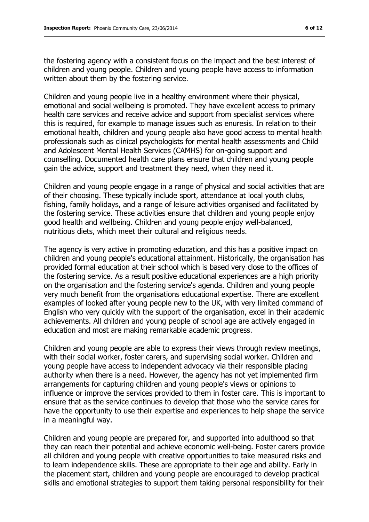the fostering agency with a consistent focus on the impact and the best interest of children and young people. Children and young people have access to information written about them by the fostering service.

Children and young people live in a healthy environment where their physical, emotional and social wellbeing is promoted. They have excellent access to primary health care services and receive advice and support from specialist services where this is required, for example to manage issues such as enuresis. In relation to their emotional health, children and young people also have good access to mental health professionals such as clinical psychologists for mental health assessments and Child and Adolescent Mental Health Services (CAMHS) for on-going support and counselling. Documented health care plans ensure that children and young people gain the advice, support and treatment they need, when they need it.

Children and young people engage in a range of physical and social activities that are of their choosing. These typically include sport, attendance at local youth clubs, fishing, family holidays, and a range of leisure activities organised and facilitated by the fostering service. These activities ensure that children and young people enjoy good health and wellbeing. Children and young people enjoy well-balanced, nutritious diets, which meet their cultural and religious needs.

The agency is very active in promoting education, and this has a positive impact on children and young people's educational attainment. Historically, the organisation has provided formal education at their school which is based very close to the offices of the fostering service. As a result positive educational experiences are a high priority on the organisation and the fostering service's agenda. Children and young people very much benefit from the organisations educational expertise. There are excellent examples of looked after young people new to the UK, with very limited command of English who very quickly with the support of the organisation, excel in their academic achievements. All children and young people of school age are actively engaged in education and most are making remarkable academic progress.

Children and young people are able to express their views through review meetings, with their social worker, foster carers, and supervising social worker. Children and young people have access to independent advocacy via their responsible placing authority when there is a need. However, the agency has not yet implemented firm arrangements for capturing children and young people's views or opinions to influence or improve the services provided to them in foster care. This is important to ensure that as the service continues to develop that those who the service cares for have the opportunity to use their expertise and experiences to help shape the service in a meaningful way.

Children and young people are prepared for, and supported into adulthood so that they can reach their potential and achieve economic well-being. Foster carers provide all children and young people with creative opportunities to take measured risks and to learn independence skills. These are appropriate to their age and ability. Early in the placement start, children and young people are encouraged to develop practical skills and emotional strategies to support them taking personal responsibility for their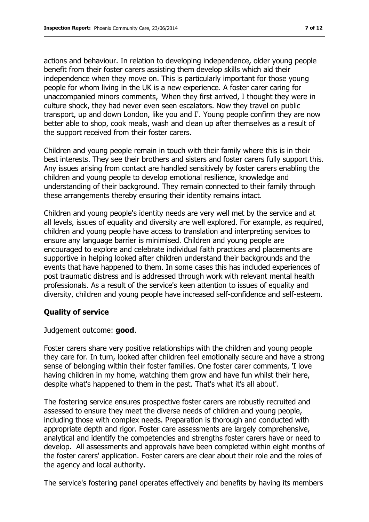actions and behaviour. In relation to developing independence, older young people benefit from their foster carers assisting them develop skills which aid their independence when they move on. This is particularly important for those young people for whom living in the UK is a new experience. A foster carer caring for unaccompanied minors comments, 'When they first arrived, I thought they were in culture shock, they had never even seen escalators. Now they travel on public transport, up and down London, like you and I'. Young people confirm they are now better able to shop, cook meals, wash and clean up after themselves as a result of the support received from their foster carers.

Children and young people remain in touch with their family where this is in their best interests. They see their brothers and sisters and foster carers fully support this. Any issues arising from contact are handled sensitively by foster carers enabling the children and young people to develop emotional resilience, knowledge and understanding of their background. They remain connected to their family through these arrangements thereby ensuring their identity remains intact.

Children and young people's identity needs are very well met by the service and at all levels, issues of equality and diversity are well explored. For example, as required, children and young people have access to translation and interpreting services to ensure any language barrier is minimised. Children and young people are encouraged to explore and celebrate individual faith practices and placements are supportive in helping looked after children understand their backgrounds and the events that have happened to them. In some cases this has included experiences of post traumatic distress and is addressed through work with relevant mental health professionals. As a result of the service's keen attention to issues of equality and diversity, children and young people have increased self-confidence and self-esteem.

#### **Quality of service**

Judgement outcome: **good**.

Foster carers share very positive relationships with the children and young people they care for. In turn, looked after children feel emotionally secure and have a strong sense of belonging within their foster families. One foster carer comments, 'I love having children in my home, watching them grow and have fun whilst their here, despite what's happened to them in the past. That's what it's all about'.

The fostering service ensures prospective foster carers are robustly recruited and assessed to ensure they meet the diverse needs of children and young people, including those with complex needs. Preparation is thorough and conducted with appropriate depth and rigor. Foster care assessments are largely comprehensive, analytical and identify the competencies and strengths foster carers have or need to develop. All assessments and approvals have been completed within eight months of the foster carers' application. Foster carers are clear about their role and the roles of the agency and local authority.

The service's fostering panel operates effectively and benefits by having its members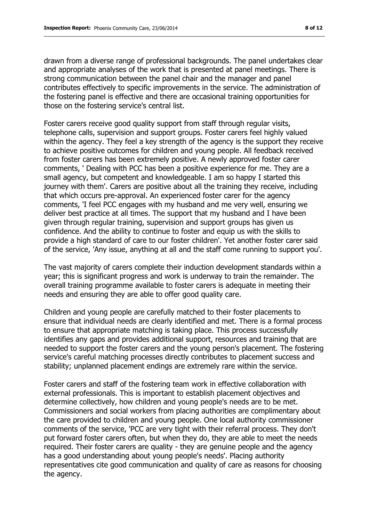drawn from a diverse range of professional backgrounds. The panel undertakes clear and appropriate analyses of the work that is presented at panel meetings. There is strong communication between the panel chair and the manager and panel contributes effectively to specific improvements in the service. The administration of the fostering panel is effective and there are occasional training opportunities for those on the fostering service's central list.

Foster carers receive good quality support from staff through regular visits, telephone calls, supervision and support groups. Foster carers feel highly valued within the agency. They feel a key strength of the agency is the support they receive to achieve positive outcomes for children and young people. All feedback received from foster carers has been extremely positive. A newly approved foster carer comments, ' Dealing with PCC has been a positive experience for me. They are a small agency, but competent and knowledgeable. I am so happy I started this journey with them'. Carers are positive about all the training they receive, including that which occurs pre-approval. An experienced foster carer for the agency comments, 'I feel PCC engages with my husband and me very well, ensuring we deliver best practice at all times. The support that my husband and I have been given through regular training, supervision and support groups has given us confidence. And the ability to continue to foster and equip us with the skills to provide a high standard of care to our foster children'. Yet another foster carer said of the service, 'Any issue, anything at all and the staff come running to support you'.

The vast majority of carers complete their induction development standards within a year; this is significant progress and work is underway to train the remainder. The overall training programme available to foster carers is adequate in meeting their needs and ensuring they are able to offer good quality care.

Children and young people are carefully matched to their foster placements to ensure that individual needs are clearly identified and met. There is a formal process to ensure that appropriate matching is taking place. This process successfully identifies any gaps and provides additional support, resources and training that are needed to support the foster carers and the young person's placement. The fostering service's careful matching processes directly contributes to placement success and stability; unplanned placement endings are extremely rare within the service.

Foster carers and staff of the fostering team work in effective collaboration with external professionals. This is important to establish placement objectives and determine collectively, how children and young people's needs are to be met. Commissioners and social workers from placing authorities are complimentary about the care provided to children and young people. One local authority commissioner comments of the service, 'PCC are very tight with their referral process. They don't put forward foster carers often, but when they do, they are able to meet the needs required. Their foster carers are quality - they are genuine people and the agency has a good understanding about young people's needs'. Placing authority representatives cite good communication and quality of care as reasons for choosing the agency.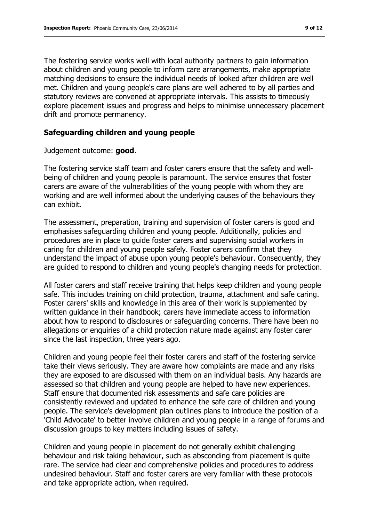The fostering service works well with local authority partners to gain information about children and young people to inform care arrangements, make appropriate matching decisions to ensure the individual needs of looked after children are well met. Children and young people's care plans are well adhered to by all parties and statutory reviews are convened at appropriate intervals. This assists to timeously explore placement issues and progress and helps to minimise unnecessary placement drift and promote permanency.

#### **Safeguarding children and young people**

Judgement outcome: **good**.

The fostering service staff team and foster carers ensure that the safety and wellbeing of children and young people is paramount. The service ensures that foster carers are aware of the vulnerabilities of the young people with whom they are working and are well informed about the underlying causes of the behaviours they can exhibit.

The assessment, preparation, training and supervision of foster carers is good and emphasises safeguarding children and young people. Additionally, policies and procedures are in place to guide foster carers and supervising social workers in caring for children and young people safely. Foster carers confirm that they understand the impact of abuse upon young people's behaviour. Consequently, they are guided to respond to children and young people's changing needs for protection.

All foster carers and staff receive training that helps keep children and young people safe. This includes training on child protection, trauma, attachment and safe caring. Foster carers' skills and knowledge in this area of their work is supplemented by written guidance in their handbook; carers have immediate access to information about how to respond to disclosures or safeguarding concerns. There have been no allegations or enquiries of a child protection nature made against any foster carer since the last inspection, three years ago.

Children and young people feel their foster carers and staff of the fostering service take their views seriously. They are aware how complaints are made and any risks they are exposed to are discussed with them on an individual basis. Any hazards are assessed so that children and young people are helped to have new experiences. Staff ensure that documented risk assessments and safe care policies are consistently reviewed and updated to enhance the safe care of children and young people. The service's development plan outlines plans to introduce the position of a 'Child Advocate' to better involve children and young people in a range of forums and discussion groups to key matters including issues of safety.

Children and young people in placement do not generally exhibit challenging behaviour and risk taking behaviour, such as absconding from placement is quite rare. The service had clear and comprehensive policies and procedures to address undesired behaviour. Staff and foster carers are very familiar with these protocols and take appropriate action, when required.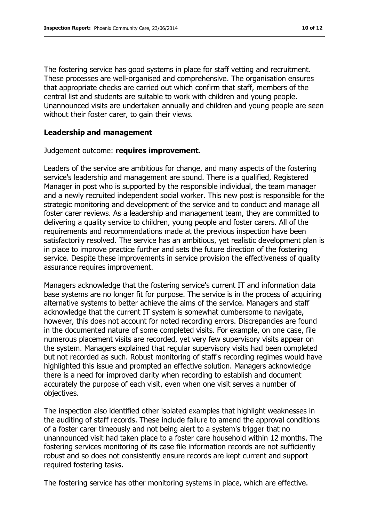The fostering service has good systems in place for staff vetting and recruitment. These processes are well-organised and comprehensive. The organisation ensures that appropriate checks are carried out which confirm that staff, members of the central list and students are suitable to work with children and young people. Unannounced visits are undertaken annually and children and young people are seen without their foster carer, to gain their views.

#### **Leadership and management**

#### Judgement outcome: **requires improvement**.

Leaders of the service are ambitious for change, and many aspects of the fostering service's leadership and management are sound. There is a qualified, Registered Manager in post who is supported by the responsible individual, the team manager and a newly recruited independent social worker. This new post is responsible for the strategic monitoring and development of the service and to conduct and manage all foster carer reviews. As a leadership and management team, they are committed to delivering a quality service to children, young people and foster carers. All of the requirements and recommendations made at the previous inspection have been satisfactorily resolved. The service has an ambitious, yet realistic development plan is in place to improve practice further and sets the future direction of the fostering service. Despite these improvements in service provision the effectiveness of quality assurance requires improvement.

Managers acknowledge that the fostering service's current IT and information data base systems are no longer fit for purpose. The service is in the process of acquiring alternative systems to better achieve the aims of the service. Managers and staff acknowledge that the current IT system is somewhat cumbersome to navigate, however, this does not account for noted recording errors. Discrepancies are found in the documented nature of some completed visits. For example, on one case, file numerous placement visits are recorded, yet very few supervisory visits appear on the system. Managers explained that regular supervisory visits had been completed but not recorded as such. Robust monitoring of staff's recording regimes would have highlighted this issue and prompted an effective solution. Managers acknowledge there is a need for improved clarity when recording to establish and document accurately the purpose of each visit, even when one visit serves a number of objectives.

The inspection also identified other isolated examples that highlight weaknesses in the auditing of staff records. These include failure to amend the approval conditions of a foster carer timeously and not being alert to a system's trigger that no unannounced visit had taken place to a foster care household within 12 months. The fostering services monitoring of its case file information records are not sufficiently robust and so does not consistently ensure records are kept current and support required fostering tasks.

The fostering service has other monitoring systems in place, which are effective.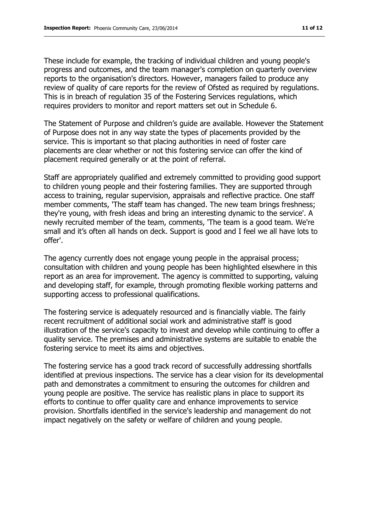These include for example, the tracking of individual children and young people's progress and outcomes, and the team manager's completion on quarterly overview reports to the organisation's directors. However, managers failed to produce any review of quality of care reports for the review of Ofsted as required by regulations. This is in breach of regulation 35 of the Fostering Services regulations, which requires providers to monitor and report matters set out in Schedule 6.

The Statement of Purpose and children's guide are available. However the Statement of Purpose does not in any way state the types of placements provided by the service. This is important so that placing authorities in need of foster care placements are clear whether or not this fostering service can offer the kind of placement required generally or at the point of referral.

Staff are appropriately qualified and extremely committed to providing good support to children young people and their fostering families. They are supported through access to training, regular supervision, appraisals and reflective practice. One staff member comments, 'The staff team has changed. The new team brings freshness; they're young, with fresh ideas and bring an interesting dynamic to the service'. A newly recruited member of the team, comments, 'The team is a good team. We're small and it's often all hands on deck. Support is good and I feel we all have lots to offer'.

The agency currently does not engage young people in the appraisal process; consultation with children and young people has been highlighted elsewhere in this report as an area for improvement. The agency is committed to supporting, valuing and developing staff, for example, through promoting flexible working patterns and supporting access to professional qualifications.

The fostering service is adequately resourced and is financially viable. The fairly recent recruitment of additional social work and administrative staff is good illustration of the service's capacity to invest and develop while continuing to offer a quality service. The premises and administrative systems are suitable to enable the fostering service to meet its aims and objectives.

The fostering service has a good track record of successfully addressing shortfalls identified at previous inspections. The service has a clear vision for its developmental path and demonstrates a commitment to ensuring the outcomes for children and young people are positive. The service has realistic plans in place to support its efforts to continue to offer quality care and enhance improvements to service provision. Shortfalls identified in the service's leadership and management do not impact negatively on the safety or welfare of children and young people.